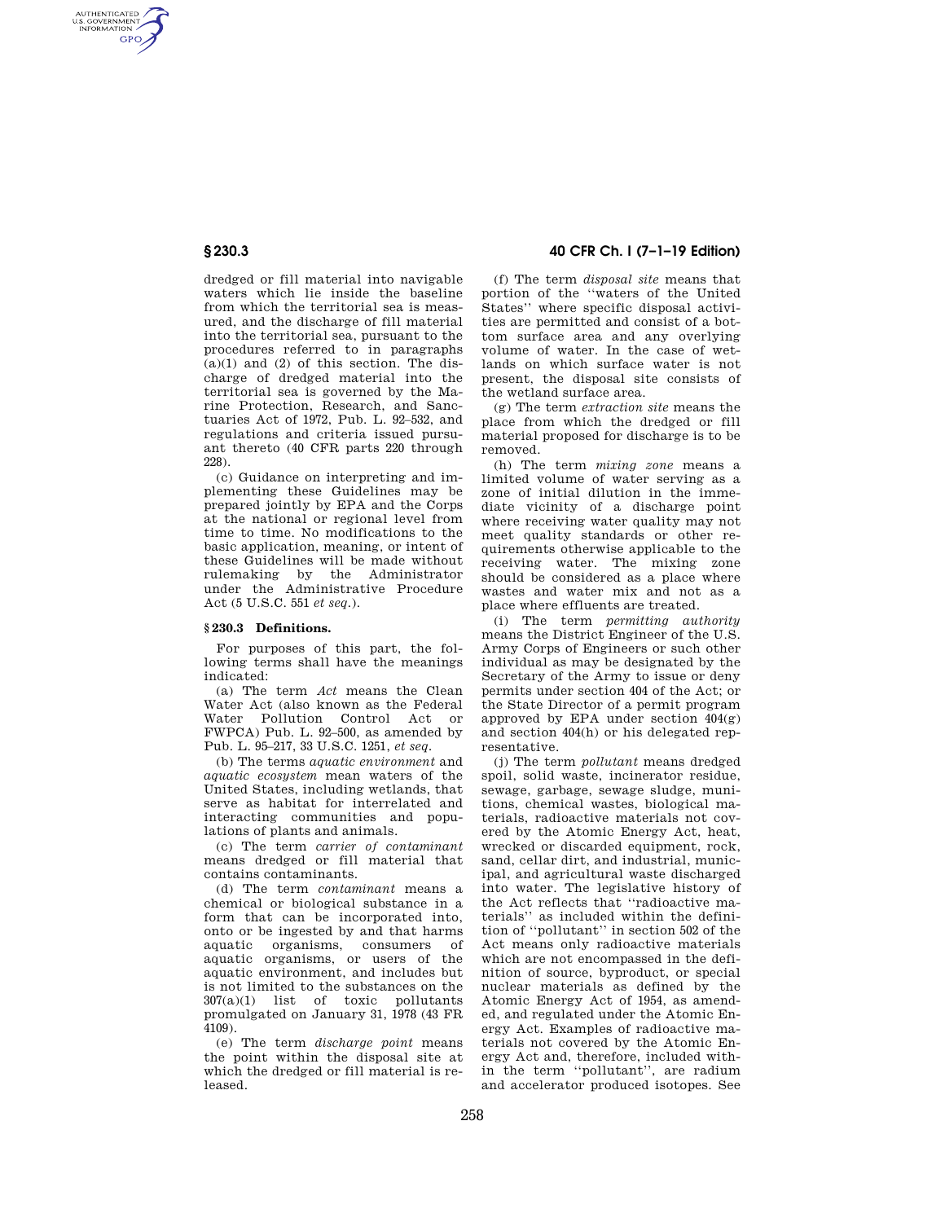AUTHENTICATED<br>U.S. GOVERNMENT<br>INFORMATION **GPO** 

> dredged or fill material into navigable waters which lie inside the baseline from which the territorial sea is measured, and the discharge of fill material into the territorial sea, pursuant to the procedures referred to in paragraphs  $(a)(1)$  and  $(2)$  of this section. The discharge of dredged material into the territorial sea is governed by the Marine Protection, Research, and Sanctuaries Act of 1972, Pub. L. 92–532, and regulations and criteria issued pursuant thereto (40 CFR parts 220 through 228).

> (c) Guidance on interpreting and implementing these Guidelines may be prepared jointly by EPA and the Corps at the national or regional level from time to time. No modifications to the basic application, meaning, or intent of these Guidelines will be made without rulemaking by the Administrator under the Administrative Procedure Act (5 U.S.C. 551 *et seq.*).

## **§ 230.3 Definitions.**

For purposes of this part, the following terms shall have the meanings indicated:

(a) The term *Act* means the Clean Water Act (also known as the Federal Water Pollution Control Act or FWPCA) Pub. L. 92–500, as amended by Pub. L. 95–217, 33 U.S.C. 1251, *et seq.* 

(b) The terms *aquatic environment* and *aquatic ecosystem* mean waters of the United States, including wetlands, that serve as habitat for interrelated and interacting communities and populations of plants and animals.

(c) The term *carrier of contaminant*  means dredged or fill material that contains contaminants.

(d) The term *contaminant* means a chemical or biological substance in a form that can be incorporated into, onto or be ingested by and that harms aquatic organisms, consumers of aquatic organisms, or users of the aquatic environment, and includes but is not limited to the substances on the 307(a)(1) list of toxic pollutants promulgated on January 31, 1978 (43 FR  $4109$ 

(e) The term *discharge point* means the point within the disposal site at which the dredged or fill material is released.

**§ 230.3 40 CFR Ch. I (7–1–19 Edition)** 

(f) The term *disposal site* means that portion of the ''waters of the United States'' where specific disposal activities are permitted and consist of a bottom surface area and any overlying volume of water. In the case of wetlands on which surface water is not present, the disposal site consists of the wetland surface area.

(g) The term *extraction site* means the place from which the dredged or fill material proposed for discharge is to be removed.

(h) The term *mixing zone* means a limited volume of water serving as a zone of initial dilution in the immediate vicinity of a discharge point where receiving water quality may not meet quality standards or other requirements otherwise applicable to the receiving water. The mixing zone should be considered as a place where wastes and water mix and not as a place where effluents are treated.

(i) The term *permitting authority*  means the District Engineer of the U.S. Army Corps of Engineers or such other individual as may be designated by the Secretary of the Army to issue or deny permits under section 404 of the Act; or the State Director of a permit program approved by EPA under section 404(g) and section 404(h) or his delegated representative.

(j) The term *pollutant* means dredged spoil, solid waste, incinerator residue, sewage, garbage, sewage sludge, munitions, chemical wastes, biological materials, radioactive materials not covered by the Atomic Energy Act, heat, wrecked or discarded equipment, rock, sand, cellar dirt, and industrial, municipal, and agricultural waste discharged into water. The legislative history of the Act reflects that ''radioactive materials'' as included within the definition of ''pollutant'' in section 502 of the Act means only radioactive materials which are not encompassed in the definition of source, byproduct, or special nuclear materials as defined by the Atomic Energy Act of 1954, as amended, and regulated under the Atomic Energy Act. Examples of radioactive materials not covered by the Atomic Energy Act and, therefore, included within the term ''pollutant'', are radium and accelerator produced isotopes. See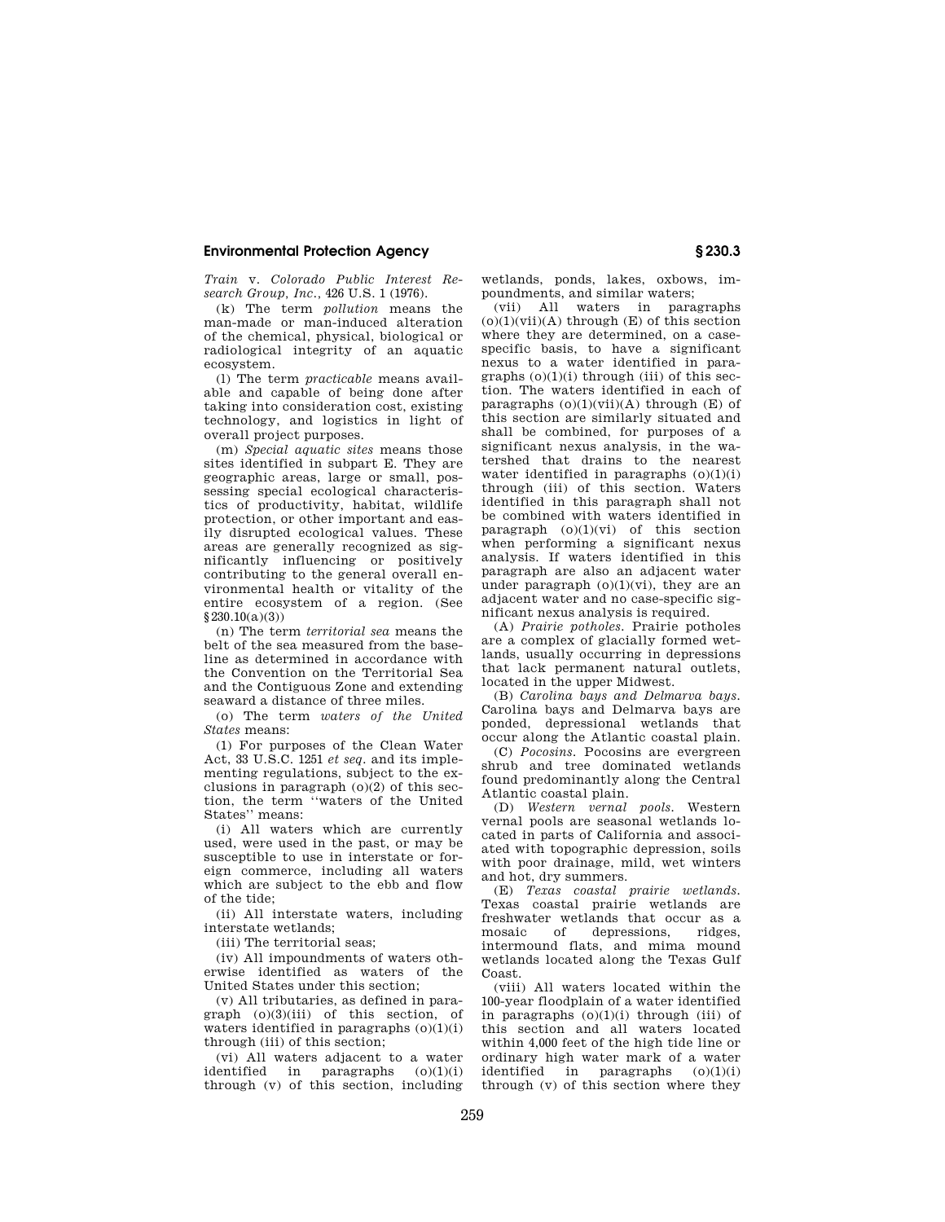### **Environmental Protection Agency § 230.3**

*Train* v. *Colorado Public Interest Research Group, Inc.,* 426 U.S. 1 (1976).

(k) The term *pollution* means the man-made or man-induced alteration of the chemical, physical, biological or radiological integrity of an aquatic ecosystem.

(l) The term *practicable* means available and capable of being done after taking into consideration cost, existing technology, and logistics in light of overall project purposes.

(m) *Special aquatic sites* means those sites identified in subpart E. They are geographic areas, large or small, possessing special ecological characteristics of productivity, habitat, wildlife protection, or other important and easily disrupted ecological values. These areas are generally recognized as significantly influencing or positively contributing to the general overall environmental health or vitality of the entire ecosystem of a region. (See  $§230.10(a)(3))$ 

(n) The term *territorial sea* means the belt of the sea measured from the baseline as determined in accordance with the Convention on the Territorial Sea and the Contiguous Zone and extending seaward a distance of three miles.

(o) The term *waters of the United States* means:

(1) For purposes of the Clean Water Act, 33 U.S.C. 1251 *et seq.* and its implementing regulations, subject to the exclusions in paragraph (o)(2) of this section, the term ''waters of the United States'' means:

(i) All waters which are currently used, were used in the past, or may be susceptible to use in interstate or foreign commerce, including all waters which are subject to the ebb and flow of the tide;

(ii) All interstate waters, including interstate wetlands;

(iii) The territorial seas;

(iv) All impoundments of waters otherwise identified as waters of the United States under this section;

(v) All tributaries, as defined in paragraph  $(0)(3)(iii)$  of this section, of waters identified in paragraphs  $(0)(1)(i)$ through (iii) of this section;

(vi) All waters adjacent to a water<br>identified in paragraphs  $(0)(1)(i)$ in paragraphs  $(o)(1)(i)$ through (v) of this section, including wetlands, ponds, lakes, oxbows, impoundments, and similar waters;

(vii) All waters in paragraphs  $(0)(1)(\n$ i)(A) through (E) of this section where they are determined, on a casespecific basis, to have a significant nexus to a water identified in paragraphs  $(0)(1)(i)$  through (iii) of this section. The waters identified in each of paragraphs  $(o)(1)(vii)(A)$  through  $(E)$  of this section are similarly situated and shall be combined, for purposes of a significant nexus analysis, in the watershed that drains to the nearest water identified in paragraphs  $(0)(1)(i)$ through (iii) of this section. Waters identified in this paragraph shall not be combined with waters identified in paragraph  $(0)(1)(vi)$  of this section when performing a significant nexus analysis. If waters identified in this paragraph are also an adjacent water under paragraph  $(0)(1)(vi)$ , they are an adjacent water and no case-specific significant nexus analysis is required.

(A) *Prairie potholes.* Prairie potholes are a complex of glacially formed wetlands, usually occurring in depressions that lack permanent natural outlets, located in the upper Midwest.

(B) *Carolina bays and Delmarva bays.*  Carolina bays and Delmarva bays are ponded, depressional wetlands that occur along the Atlantic coastal plain.

(C) *Pocosins.* Pocosins are evergreen shrub and tree dominated wetlands found predominantly along the Central Atlantic coastal plain.

(D) *Western vernal pools.* Western vernal pools are seasonal wetlands located in parts of California and associated with topographic depression, soils with poor drainage, mild, wet winters and hot, dry summers.

(E) *Texas coastal prairie wetlands.*  Texas coastal prairie wetlands are freshwater wetlands that occur as a<br>mosaic of depressions, ridges, depressions, intermound flats, and mima mound wetlands located along the Texas Gulf Coast.

(viii) All waters located within the 100-year floodplain of a water identified in paragraphs (o)(1)(i) through (iii) of this section and all waters located within 4,000 feet of the high tide line or ordinary high water mark of a water identified in paragraphs (o)(1)(i) through (v) of this section where they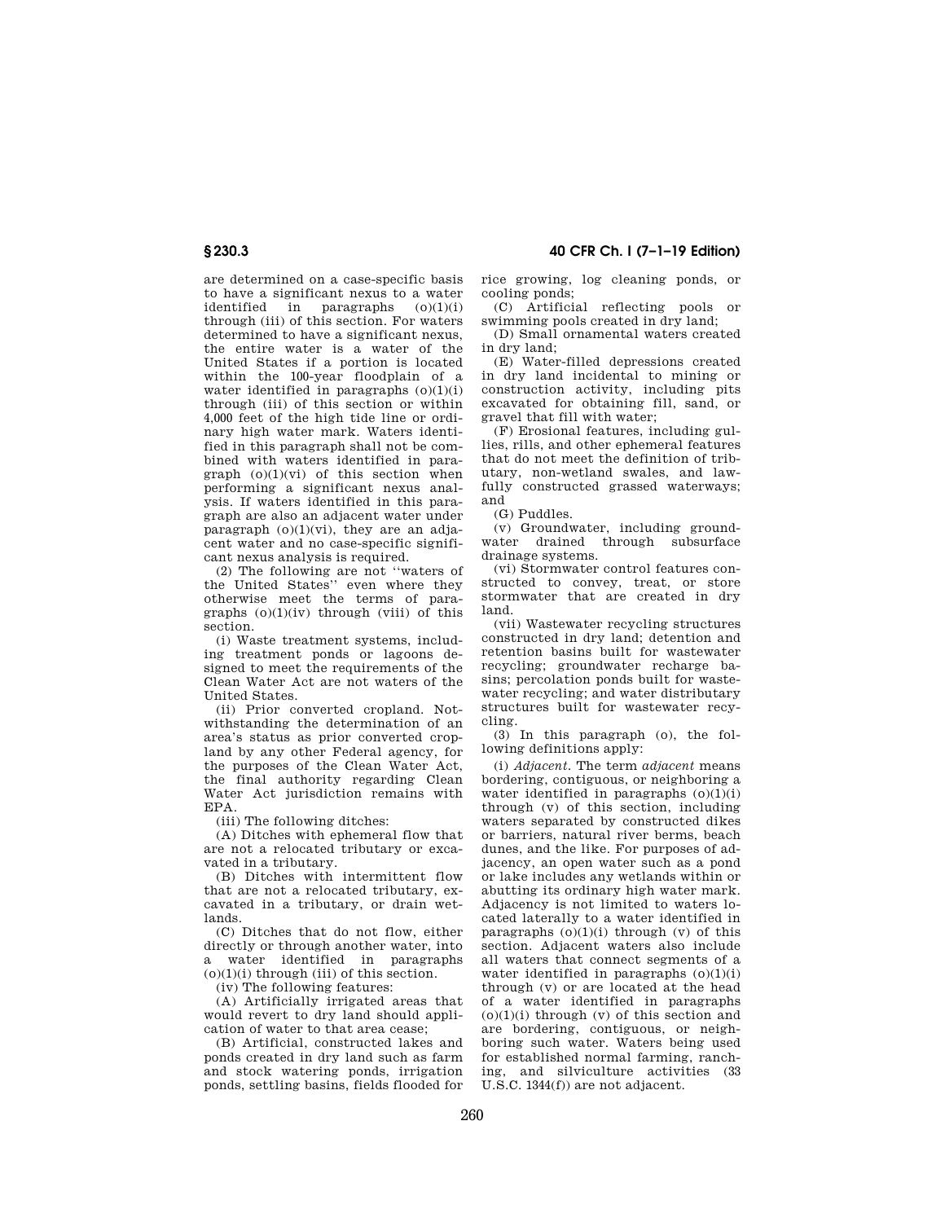# **§ 230.3 40 CFR Ch. I (7–1–19 Edition)**

are determined on a case-specific basis to have a significant nexus to a water identified in paragraphs (o)(1)(i) through (iii) of this section. For waters determined to have a significant nexus, the entire water is a water of the United States if a portion is located within the 100-year floodplain of a water identified in paragraphs  $(0)(1)(i)$ through (iii) of this section or within 4,000 feet of the high tide line or ordinary high water mark. Waters identified in this paragraph shall not be combined with waters identified in paragraph  $(0)(1)(vi)$  of this section when performing a significant nexus analysis. If waters identified in this paragraph are also an adjacent water under paragraph  $(0)(1)(vi)$ , they are an adjacent water and no case-specific significant nexus analysis is required.

(2) The following are not ''waters of the United States'' even where they otherwise meet the terms of paragraphs  $(0)(1)(iv)$  through (viii) of this section.

(i) Waste treatment systems, including treatment ponds or lagoons designed to meet the requirements of the Clean Water Act are not waters of the United States.

(ii) Prior converted cropland. Notwithstanding the determination of an area's status as prior converted cropland by any other Federal agency, for the purposes of the Clean Water Act, the final authority regarding Clean Water Act jurisdiction remains with EPA.

(iii) The following ditches:

(A) Ditches with ephemeral flow that are not a relocated tributary or excavated in a tributary.

(B) Ditches with intermittent flow that are not a relocated tributary, excavated in a tributary, or drain wetlands.

(C) Ditches that do not flow, either directly or through another water, into a water identified in paragraphs  $(0)(1)(i)$  through (iii) of this section.

(iv) The following features:

(A) Artificially irrigated areas that would revert to dry land should application of water to that area cease;

(B) Artificial, constructed lakes and ponds created in dry land such as farm and stock watering ponds, irrigation ponds, settling basins, fields flooded for rice growing, log cleaning ponds, or cooling ponds;

(C) Artificial reflecting pools or swimming pools created in dry land;

(D) Small ornamental waters created in dry land;

(E) Water-filled depressions created in dry land incidental to mining or construction activity, including pits excavated for obtaining fill, sand, or gravel that fill with water;

(F) Erosional features, including gullies, rills, and other ephemeral features that do not meet the definition of tributary, non-wetland swales, and lawfully constructed grassed waterways; and

(G) Puddles.

(v) Groundwater, including groundwater drained through subsurface drainage systems.

(vi) Stormwater control features constructed to convey, treat, or store stormwater that are created in dry land.

(vii) Wastewater recycling structures constructed in dry land; detention and retention basins built for wastewater recycling; groundwater recharge basins; percolation ponds built for wastewater recycling; and water distributary structures built for wastewater recycling.

(3) In this paragraph (o), the following definitions apply:

(i) *Adjacent.* The term *adjacent* means bordering, contiguous, or neighboring a water identified in paragraphs  $(0)(1)(i)$ through (v) of this section, including waters separated by constructed dikes or barriers, natural river berms, beach dunes, and the like. For purposes of adjacency, an open water such as a pond or lake includes any wetlands within or abutting its ordinary high water mark. Adjacency is not limited to waters located laterally to a water identified in paragraphs  $(0)(1)(i)$  through  $(v)$  of this section. Adjacent waters also include all waters that connect segments of a water identified in paragraphs  $(0)(1)(i)$ through (v) or are located at the head of a water identified in paragraphs  $(0)(1)(i)$  through  $(v)$  of this section and are bordering, contiguous, or neighboring such water. Waters being used for established normal farming, ranching, and silviculture activities (33 U.S.C. 1344(f)) are not adjacent.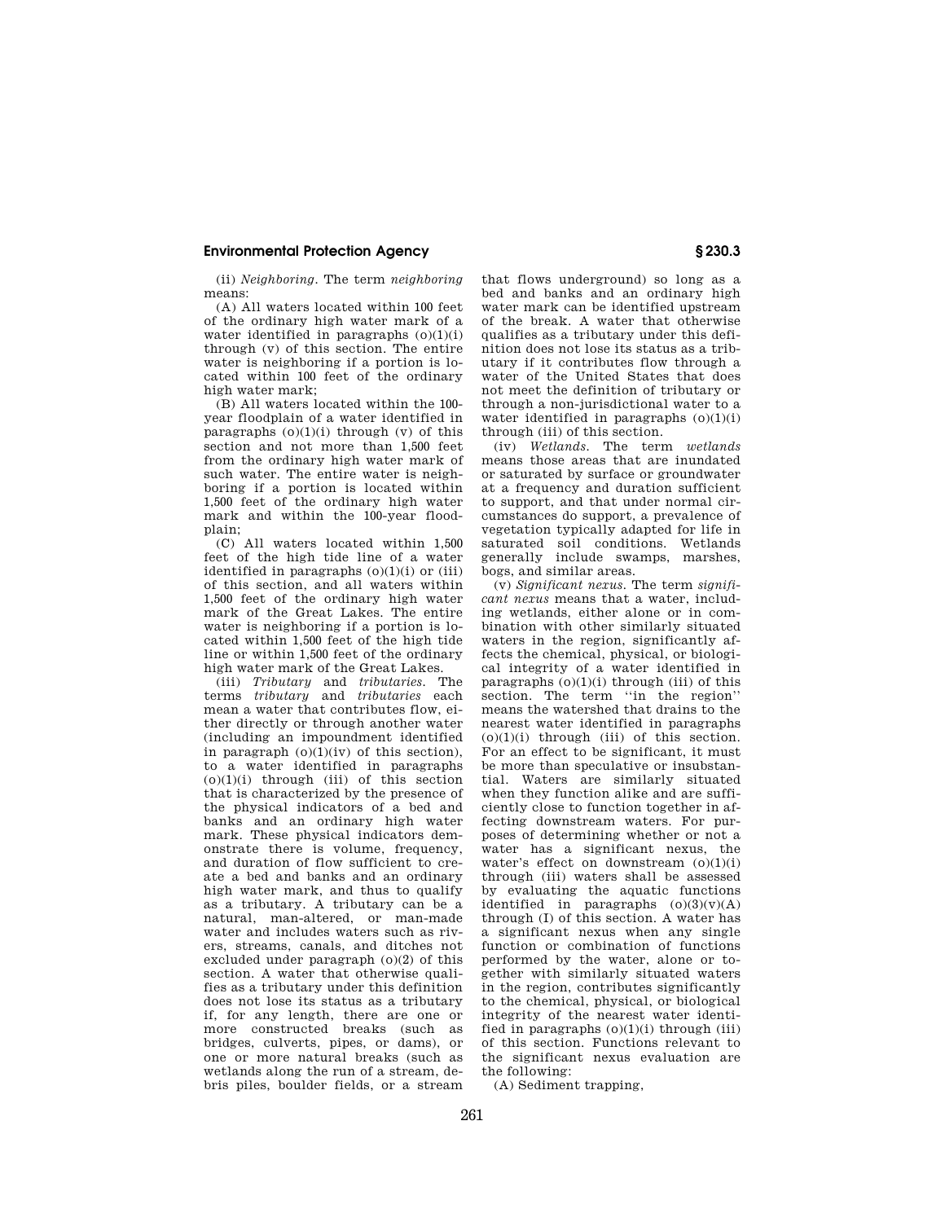### **Environmental Protection Agency § 230.3**

(ii) *Neighboring.* The term *neighboring*  means:

(A) All waters located within 100 feet of the ordinary high water mark of a water identified in paragraphs (o)(1)(i) through (v) of this section. The entire water is neighboring if a portion is located within 100 feet of the ordinary high water mark;

(B) All waters located within the 100 year floodplain of a water identified in paragraphs  $(0)(1)(i)$  through  $(v)$  of this section and not more than 1,500 feet from the ordinary high water mark of such water. The entire water is neighboring if a portion is located within 1,500 feet of the ordinary high water mark and within the 100-year floodplain;

 $(C)$  All waters located within 1,500 feet of the high tide line of a water identified in paragraphs  $(0)(1)(i)$  or  $(iii)$ of this section, and all waters within 1,500 feet of the ordinary high water mark of the Great Lakes. The entire water is neighboring if a portion is located within 1,500 feet of the high tide line or within 1,500 feet of the ordinary high water mark of the Great Lakes.

(iii) *Tributary* and *tributaries.* The terms *tributary* and *tributaries* each mean a water that contributes flow, either directly or through another water (including an impoundment identified in paragraph  $(0)(1)(iv)$  of this section), to a water identified in paragraphs  $(0)(1)(i)$  through (iii) of this section that is characterized by the presence of the physical indicators of a bed and banks and an ordinary high water mark. These physical indicators demonstrate there is volume, frequency, and duration of flow sufficient to create a bed and banks and an ordinary high water mark, and thus to qualify as a tributary. A tributary can be a natural, man-altered, or man-made water and includes waters such as rivers, streams, canals, and ditches not excluded under paragraph (o)(2) of this section. A water that otherwise qualifies as a tributary under this definition does not lose its status as a tributary if, for any length, there are one or more constructed breaks (such as bridges, culverts, pipes, or dams), or one or more natural breaks (such as wetlands along the run of a stream, debris piles, boulder fields, or a stream

that flows underground) so long as a bed and banks and an ordinary high water mark can be identified upstream of the break. A water that otherwise qualifies as a tributary under this definition does not lose its status as a tributary if it contributes flow through a water of the United States that does not meet the definition of tributary or through a non-jurisdictional water to a water identified in paragraphs  $(0)(1)(i)$ through (iii) of this section.

(iv) *Wetlands.* The term *wetlands*  means those areas that are inundated or saturated by surface or groundwater at a frequency and duration sufficient to support, and that under normal circumstances do support, a prevalence of vegetation typically adapted for life in saturated soil conditions. Wetlands generally include swamps, marshes, bogs, and similar areas.

(v) *Significant nexus.* The term *significant nexus* means that a water, including wetlands, either alone or in combination with other similarly situated waters in the region, significantly affects the chemical, physical, or biological integrity of a water identified in paragraphs  $(0)(1)(i)$  through (iii) of this section. The term "in the region" means the watershed that drains to the nearest water identified in paragraphs  $(0)(1)(i)$  through (iii) of this section. For an effect to be significant, it must be more than speculative or insubstantial. Waters are similarly situated when they function alike and are sufficiently close to function together in affecting downstream waters. For purposes of determining whether or not a water has a significant nexus, the water's effect on downstream  $(0)(1)(i)$ through (iii) waters shall be assessed by evaluating the aquatic functions identified in paragraphs  $(o)(3)(v)(A)$ through  $(I)$  of this section. A water has a significant nexus when any single function or combination of functions performed by the water, alone or together with similarly situated waters in the region, contributes significantly to the chemical, physical, or biological integrity of the nearest water identified in paragraphs  $(0)(1)(i)$  through  $(iii)$ of this section. Functions relevant to the significant nexus evaluation are the following:

(A) Sediment trapping,